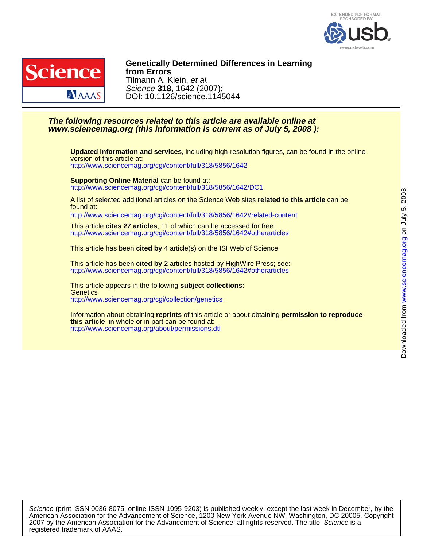



DOI: 10.1126/science.1145044 Science **318**, 1642 (2007); Tilmann A. Klein, et al. **from Errors Genetically Determined Differences in Learning**

## **www.sciencemag.org (this information is current as of July 5, 2008 ): The following resources related to this article are available online at**

<http://www.sciencemag.org/cgi/content/full/318/5856/1642> version of this article at: **Updated information and services,** including high-resolution figures, can be found in the online

<http://www.sciencemag.org/cgi/content/full/318/5856/1642/DC1> **Supporting Online Material** can be found at:

found at: A list of selected additional articles on the Science Web sites **related to this article** can be

<http://www.sciencemag.org/cgi/content/full/318/5856/1642#related-content>

<http://www.sciencemag.org/cgi/content/full/318/5856/1642#otherarticles> This article **cites 27 articles**, 11 of which can be accessed for free:

This article has been **cited by** 4 article(s) on the ISI Web of Science.

<http://www.sciencemag.org/cgi/content/full/318/5856/1642#otherarticles> This article has been **cited by** 2 articles hosted by HighWire Press; see:

<http://www.sciencemag.org/cgi/collection/genetics> **Genetics** This article appears in the following **subject collections**:

<http://www.sciencemag.org/about/permissions.dtl> **this article** in whole or in part can be found at: Information about obtaining **reprints** of this article or about obtaining **permission to reproduce**

registered trademark of AAAS. 2007 by the American Association for the Advancement of Science; all rights reserved. The title Science is a American Association for the Advancement of Science, 1200 New York Avenue NW, Washington, DC 20005. Copyright Science (print ISSN 0036-8075; online ISSN 1095-9203) is published weekly, except the last week in December, by the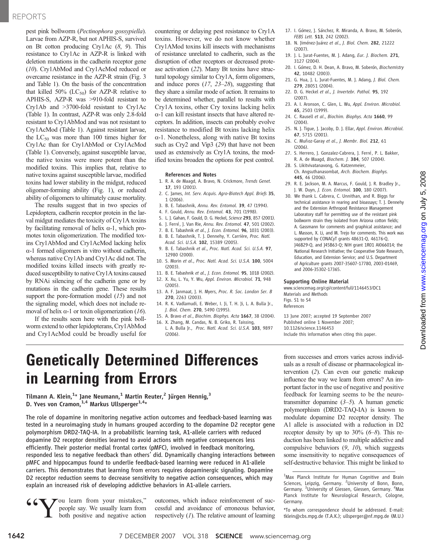## REPORTS

pest pink bollworm (Pectinophora gossypiella). Larvae from AZP-R, but not APHIS-S, survived on Bt cotton producing Cry1Ac (8, 9). This resistance to Cry1Ac in AZP-R is linked with deletion mutations in the cadherin receptor gene (10). Cry1AbMod and Cry1AcMod reduced or overcame resistance in the AZP-R strain (Fig. 3 and Table 1). On the basis of the concentration that killed 50% ( $LC_{50}$ ) for AZP-R relative to APHIS-S, AZP-R was >910-fold resistant to Cry1Ab and >3700-fold resistant to Cry1Ac (Table 1). In contrast, AZP-R was only 2.8-fold resistant to Cry1AbMod and was not resistant to Cry1AcMod (Table 1). Against resistant larvae, the  $LC_{50}$  was more than 100 times higher for Cry1Ac than for Cry1AbMod or Cry1AcMod (Table 1). Conversely, against susceptible larvae, the native toxins were more potent than the modified toxins. This implies that, relative to native toxins against susceptible larvae, modified toxins had lower stability in the midgut, reduced oligomer-forming ability (Fig. 1), or reduced ability of oligomers to ultimately cause mortality.

The results suggest that in two species of Lepidoptera, cadherin receptor protein in the larval midgut mediates the toxicity of Cry1A toxins by facilitating removal of helix  $\alpha$ -1, which promotes toxin oligomerization. The modified toxins Cry1AbMod and Cry1AcMod lacking helix  $\alpha$ -1 formed oligomers in vitro without cadherin, whereas native Cry1Ab and Cry1Ac did not. The modified toxins killed insects with greatly reduced susceptibility to native Cry1A toxins caused by RNAi silencing of the cadherin gene or by mutations in the cadherin gene. These results support the pore-formation model (15) and not the signaling model, which does not include removal of helix  $\alpha$ -1 or toxin oligomerization (16).

If the results seen here with the pink bollworm extend to other lepidopterans, Cry1AbMod and Cry1AcMod could be broadly useful for countering or delaying pest resistance to Cry1A toxins. However, we do not know whether Cry1AMod toxins kill insects with mechanisms of resistance unrelated to cadherin, such as the disruption of other receptors or decreased protease activation (22). Many Bt toxins have structural topology similar to Cry1A, form oligomers, and induce pores  $(17, 23-28)$ , suggesting that they share a similar mode of action. It remains to be determined whether, parallel to results with Cry1A toxins, other Cry toxins lacking helix  $\alpha$ -1 can kill resistant insects that have altered receptors. In addition, insects can probably evolve resistance to modified Bt toxins lacking helix  $\alpha$ -1. Nonetheless, along with native Bt toxins such as Cry2 and Vip3 (29) that have not been used as extensively as Cry1A toxins, the modified toxins broaden the options for pest control.

#### References and Notes

- 1. R. A. de Maagd, A. Bravo, N. Crickmore, Trends Genet. 17, 193 (2001).
- 2. C. James, Int. Serv. Acquis. Agro-Biotech Appl. Briefs 35, 1 (2006).
- 3. B. E. Tabashnik, Annu. Rev. Entomol. 39, 47 (1994).
- 4. F. Gould, Annu. Rev. Entomol. 43, 701 (1998).
- 5. L. J. Gahan, F. Gould, D. G. Heckel, Science 293, 857 (2001).
- 6. J. Ferré, J. Van Rie, Annu. Rev. Entomol. 47, 501 (2002). 7. B. E. Tabashnik et al., J. Econ. Entomol. 96, 1031 (2003).
- 8. B. E. Tabashnik, T. J. Dennehy, Y. Carrière, Proc. Natl.
- Acad. Sci. U.S.A. 102, 15389 (2005).
- 9. B. E. Tabashnik et al., Proc. Natl. Acad. Sci. U.S.A. 97, 12980 (2000).
- 10. S. Morin et al., Proc. Natl. Acad. Sci. U.S.A. 100, 5004 (2003).
- 11. B. E. Tabashnik et al., J. Econ. Entomol. 95, 1018 (2002). 12. X. Xu, L. Yu, Y. Wu, Appl. Environ. Microbiol. 71, 948
- (2005).
- 13. A. F. Janmaat, J. H. Myers, Proc. R. Soc. London Ser. B 270, 2263 (2003).
- 14. R. K. Vadlamudi, E. Weber, I. Ji, T. H. Ji, L. A. Bulla Jr., J. Biol. Chem. 270, 5490 (1995).
- 15. A. Bravo et al., Biochim. Biophys. Acta 1667, 38 (2004). 16. X. Zhang, M. Candas, N. B. Griko, R. Taissing,
- L. A. Bulla Jr., Proc. Natl. Acad. Sci. U.S.A. 103, 9897 (2006).
- 17. I. Gómez, J. Sánchez, R. Miranda, A. Bravo, M. Soberón, FEBS Lett. 513, 242 (2002).
- 18. N. Jiménez-Juárez et al., J. Biol. Chem. 282, 21222 (2007).
- 19. J. L. Jurat-Fuentes, M. J. Adang, Eur. J. Biochem. 271, 3127 (2004).
- 20. I. Gómez, D. H. Dean, A. Bravo, M. Soberón, Biochemistry 42, 10482 (2003).
- 21. G. Hua, J. L. Jurat-Fuentes, M. J. Adang, J. Biol. Chem. 279, 28051 (2004).
- 22. D. G. Heckel et al., J. Invertebr. Pathol. 95, 192 (2007).
- 23. A. I. Aronson, C. Glen, L. Wu, Appl. Environ. Microbiol. 65, 2503 (1999).
- 24. C. Rausell et al., Biochim. Biophys. Acta 1660, 99 (2004).
- 25. N. J. Tigue, J. Jacoby, D. J. Ellar, Appl. Environ. Microbiol. 67, 5715 (2001).
- 26. C. Muñoz-Garay et al., J. Membr. Biol. 212, 61 (2006).
- 27. S. Herrero, J. Gonzalez-Cabrera, J. Ferré, P. L. Bakker, R. A. de Maagd, Biochem. J. 384, 507 (2004).
- 28. S. Likitvivatanavong, G. Katzenmeier, Ch. Angsuthanasombat, Arch. Biochem. Biophys. 445, 46 (2006).
- 29. R. E. Jackson, M. A. Marcus, F. Gould, J. R. Bradley Jr., J. W. Duyn, J. Econ. Entomol. 100, 180 (2007).
- 30. We thank L. Cabrera, C. Unnithan, and R. Biggs for technical assistance in rearing and bioassays; T. J. Dennehy and the Extension Arthropod Resistance Management Laboratory staff for permitting use of the resistant pink bollworm strain they isolated from Arizona cotton fields; A. Gassmann for comments and graphical assistance; and L. Masson, X. Li, and M. Trejo for comments. This work was supported by CONACyT grants 48631-Q, 46176-Q, J46B29-Q, and J45B63-Q; NIH grant 1R01 AI066014; the National Research Initiative; the Cooperative State Research, Education, and Extension Service; and U.S. Department of Agriculture grants 2007-35607-17780, 2003-01469, and 2006-35302-17365.

#### Supporting Online Material

www.sciencemag.org/cgi/content/full/1146453/DC1 Materials and Methods Figs. S1 to S4

References

13 June 2007; accepted 19 September 2007 Published online 1 November 2007; 10.1126/science.1146453 Include this information when citing this paper.

# Genetically Determined Differences in Learning from Errors

Tilmann A. Klein, $^{1_\star}$  Jane Neumann, $^1$  Martin Reuter, $^2$  Jürgen Hennig, $^3$ D. Yves von Cramon,  $1.4$  Markus Ullsperger $1.4*$ 

The role of dopamine in monitoring negative action outcomes and feedback-based learning was tested in a neuroimaging study in humans grouped according to the dopamine D2 receptor gene polymorphism DRD2-TAQ-IA. In a probabilistic learning task, A1-allele carriers with reduced dopamine D2 receptor densities learned to avoid actions with negative consequences less efficiently. Their posterior medial frontal cortex (pMFC), involved in feedback monitoring, responded less to negative feedback than others' did. Dynamically changing interactions between pMFC and hippocampus found to underlie feedback-based learning were reduced in A1-allele carriers. This demonstrates that learning from errors requires dopaminergic signaling. Dopamine D2 receptor reduction seems to decrease sensitivity to negative action consequences, which may explain an increased risk of developing addictive behaviors in A1-allele carriers.

You learn from your mistakes," people say. We usually learn from both positive and negative action

outcomes, which induce reinforcement of successful and avoidance of erroneous behavior, respectively  $(1)$ . The relative amount of learning from successes and errors varies across individuals as a result of disease or pharmacological intervention (2). Can even our genetic makeup influence the way we learn from errors? An important factor in the use of negative and positive feedback for learning seems to be the neurotransmitter dopamine  $(3-5)$ . A human genetic polymorphism (DRD2-TAQ-IA) is known to modulate dopamine D2 receptor density. The A1 allele is associated with a reduction in D2 receptor density by up to  $30\%$  (6–8). This reduction has been linked to multiple addictive and compulsive behaviors  $(9, 10)$ , which suggests some insensitivity to negative consequences of self-destructive behavior. This might be linked to

<sup>&</sup>lt;sup>1</sup>Max Planck Institute for Human Cognitive and Brain Sciences, Leipzig, Germany. <sup>2</sup>University of Bonn, Bonn, Germany. <sup>3</sup>University of Giessen, Giessen, Germany. <sup>4</sup>Max Planck Institute for Neurological Research, Cologne, Germany.

<sup>\*</sup>To whom correspondence should be addressed. E-mail: tklein@cbs.mpg.de (T.A.K.); ullsperger@nf.mpg.de (M.U.)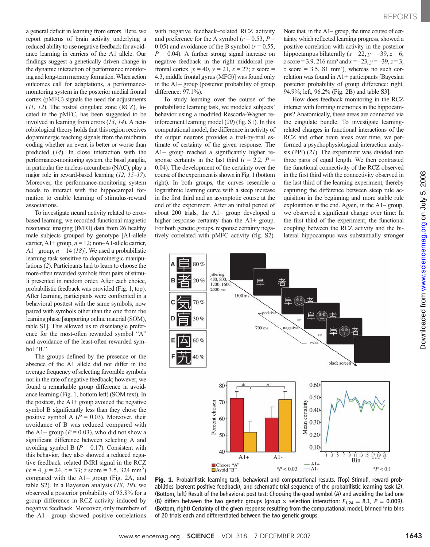a general deficit in learning from errors. Here, we report patterns of brain activity underlying a reduced ability to use negative feedback for avoidance learning in carriers of the A1 allele. Our findings suggest a genetically driven change in the dynamic interaction of performance monitoring and long-term memory formation.When action outcomes call for adaptations, a performancemonitoring system in the posterior medial frontal cortex (pMFC) signals the need for adjustments (11, 12). The rostral cingulate zone (RCZ), located in the pMFC, has been suggested to be involved in learning from errors (13, 14). A neurobiological theory holds that this region receives dopaminergic teaching signals from the midbrain coding whether an event is better or worse than predicted (14). In close interaction with the performance-monitoring system, the basal ganglia, in particular the nucleus accumbens (NAC), play a major role in reward-based learning (12, 15–17). Moreover, the performance-monitoring system needs to interact with the hippocampal formation to enable learning of stimulus-reward associations.

To investigate neural activity related to errorbased learning, we recorded functional magnetic resonance imaging (fMRI) data from 26 healthy male subjects grouped by genotype [A1-allele carrier, A1+ group,  $n = 12$ ; non-A1-allele carrier, A1– group,  $n = 14$  (18)]. We used a probabilistic learning task sensitive to dopaminergic manipulations (2). Participants had to learn to choose the more-often rewarded symbols from pairs of stimuli presented in random order. After each choice, probabilistic feedback was provided (Fig. 1, top). After learning, participants were confronted in a behavioral posttest with the same symbols, now paired with symbols other than the one from the learning phase [supporting online material (SOM), table S1]. This allowed us to disentangle preference for the most-often rewarded symbol "A" and avoidance of the least-often rewarded symbol "B."

The groups defined by the presence or the absence of the A1 allele did not differ in the average frequency of selecting favorable symbols nor in the rate of negative feedback; however, we found a remarkable group difference in avoidance learning (Fig. 1, bottom left) (SOM text). In the posttest, the  $A1+$  group avoided the negative symbol B significantly less than they chose the positive symbol A ( $P = 0.03$ ). Moreover, their avoidance of B was reduced compared with the A1– group ( $P = 0.03$ ), who did not show a significant difference between selecting A and avoiding symbol B ( $P = 0.17$ ). Consistent with this behavior, they also showed a reduced negative feedback–related fMRI signal in the RCZ  $(x = 4, y = 24, z = 33; z \text{ score} = 3.5, 324 \text{ mm}^3)$ <br>compared with the A<sub>1</sub> group (Fig. 2A, and compared with the A1– group (Fig. 2A, and table S2). In a Bayesian analysis  $(18, 19)$ , we observed a posterior probability of 95.8% for a group difference in RCZ activity induced by negative feedback. Moreover, only members of the A1– group showed positive correlations

with negative feedback–related RCZ activity and preference for the A symbol ( $r = 0.53$ ,  $P =$ 0.05) and avoidance of the B symbol ( $r = 0.55$ ,  $P = 0.04$ ). A further strong signal increase on negative feedback in the right middorsal prefrontal cortex  $[x = 40, y = 21, z = 27; z$  score = 4.3, middle frontal gyrus (MFG)] was found only in the A1– group (posterior probability of group difference: 97.1%).

To study learning over the course of the probabilistic learning task, we modeled subjects' behavior using a modified Rescorla-Wagner reinforcement learning model (20) (fig. S1). In this computational model, the difference in activity of the output neurons provides a trial-by-trial estimate of certainty of the given response. The A1– group reached a significantly higher response certainty in the last third ( $t = 2.2$ ,  $P =$ 0.04). The development of the certainty over the course of the experiment is shown in Fig. 1 (bottom right). In both groups, the curves resemble a logarithmic learning curve with a steep increase in the first third and an asymptotic course at the end of the experiment. After an initial period of about 200 trials, the A1– group developed a higher response certainty than the A1+ group. For both genetic groups, response certainty negatively correlated with pMFC activity (fig. S2).

Note that, in the A1– group, the time course of certainty, which reflected learning progress, showed a positive correlation with activity in the posterior hippocampus bilaterally  $(x = 22, y = -39, z = 6;$ z score = 3.9, 216 mm<sup>3</sup> and  $x = -23$ ,  $y = -39$ ,  $z = 3$ ;  $z$  score = 3.5, 81 mm<sup>3</sup>), whereas no such correlation was found in A1+ participants [Bayesian posterior probability of group difference: right, 94.9%; left, 96.2% (Fig. 2B) and table S3].

How does feedback monitoring in the RCZ interact with forming memories in the hippocampus? Anatomically, these areas are connected via the cingulate bundle. To investigate learningrelated changes in functional interactions of the RCZ and other brain areas over time, we performed a psychophysiological interaction analysis (PPI) (21). The experiment was divided into three parts of equal length. We then contrasted the functional connectivity of the RCZ observed in the first third with the connectivity observed in the last third of the learning experiment, thereby capturing the difference between steep rule acquisition in the beginning and more stable rule exploitation at the end. Again, in the A1– group, we observed a significant change over time: In the first third of the experiment, the functional coupling between the RCZ activity and the bilateral hippocampus was substantially stronger



Fig. 1. Probabilistic learning task, behavioral and computational results. (Top) Stimuli, reward probabilities (percent positive feedback), and schematic trial sequence of the probabilistic learning task (2). (Bottom, left) Result of the behavioral post test: Choosing the good symbol (A) and avoiding the bad one (B) differs between the two genetic groups (group  $\times$  selection interaction:  $F_{1,24} = 8.1$ ,  $P = 0.009$ ). (Bottom, right) Certainty of the given response resulting from the computational model, binned into bins of 20 trials each and differentiated between the two genetic groups.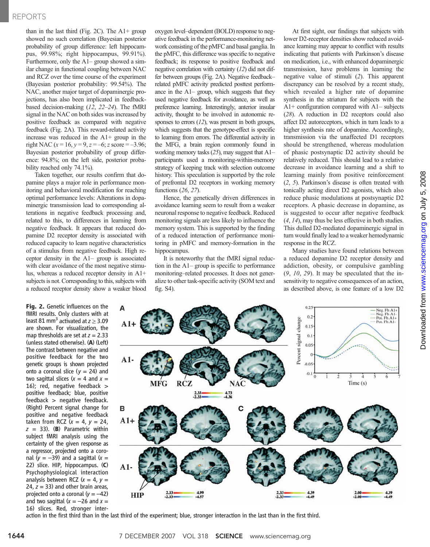## REPORTS

than in the last third (Fig. 2C). The A1+ group showed no such correlation (Bayesian posterior probability of group difference: left hippocampus, 99.98%; right hippocampus, 99.91%). Furthermore, only the A1– group showed a similar change in functional coupling between NAC and RCZ over the time course of the experiment (Bayesian posterior probability: 99.54%). The NAC, another major target of dopaminergic projections, has also been implicated in feedbackbased decision-making (12, 22–24). The fMRI signal in the NAC on both sides was increased by positive feedback as compared with negative feedback (Fig. 2A). This reward-related activity increase was reduced in the A1+ group in the right NAC  $(x = 16, y = 9, z = -6; z$  score = -3.96; Bayesian posterior probability of group difference: 94.8%; on the left side, posterior probability reached only 74.1%).

Taken together, our results confirm that dopamine plays a major role in performance monitoring and behavioral modification for reaching optimal performance levels: Alterations in dopaminergic transmission lead to corresponding alterations in negative feedback processing and, related to this, to differences in learning from negative feedback. It appears that reduced dopamine D2 receptor density is associated with reduced capacity to learn negative characteristics of a stimulus from negative feedback. High receptor density in the A1– group is associated with clear avoidance of the most negative stimulus, whereas a reduced receptor density in A1+ subjects is not. Corresponding to this, subjects with a reduced receptor density show a weaker blood

Fig. 2. Genetic influences on the fMRI results. Only clusters with at least 81 mm<sup>3</sup> activated at  $z \geq 3.09$ are shown. For visualization, the map thresholds are set at  $z = 2.33$ (unless stated otherwise). (A) (Left) The contrast between negative and positive feedback for the two genetic groups is shown projected onto a coronal slice ( $y = 24$ ) and two sagittal slices  $(x = 4$  and  $x =$ 16); red, negative feedback > positive feedback; blue, positive feedback > negative feedback. (Right) Percent signal change for positive and negative feedback taken from RCZ  $(x = 4, y = 24,$  $z = 33$ ). (B) Parametric within subject fMRI analysis using the certainty of the given response as a regressor, projected onto a coronal ( $y = -39$ ) and a sagittal ( $x =$ 22) slice. HIP, hippocampus. (C) Psychophysiological interaction analysis between RCZ  $(x = 4, v =$ 24,  $z = 33$ ) and other brain areas, projected onto a coronal  $(y = -42)$ and two sagittal  $(x = -26$  and  $x =$ 16) slices. Red, stronger interoxygen level–dependent (BOLD) response to negative feedback in the performance-monitoring network consisting of the pMFC and basal ganglia. In the pMFC, this difference was specific to negative feedback; its response to positive feedback and negative correlation with certainty (12) did not differ between groups (Fig. 2A). Negative feedback– related pMFC activity predicted posttest performance in the A1– group, which suggests that they used negative feedback for avoidance, as well as preference learning. Interestingly, anterior insular activity, thought to be involved in autonomic responses to errors  $(12)$ , was present in both groups, which suggests that the genotype-effect is specific to learning from errors. The differential activity in the MFG, a brain region commonly found in working memory tasks (25), may suggest that A1– participants used a monitoring-within-memory strategy of keeping track with selection outcome history. This speculation is supported by the role of prefrontal D2 receptors in working memory functions (26, 27).

Hence, the genetically driven differences in avoidance learning seem to result from a weaker neuronal response to negative feedback. Reduced monitoring signals are less likely to influence the memory system. This is supported by the finding of a reduced interaction of performance monitoring in pMFC and memory-formation in the hippocampus.

It is noteworthy that the fMRI signal reduction in the A1– group is specific to performance monitoring–related processes. It does not generalize to other task-specific activity (SOM text and fig. S4).

At first sight, our findings that subjects with lower D2-receptor densities show reduced avoidance learning may appear to conflict with results indicating that patients with Parkinson's disease on medication, i.e., with enhanced dopaminergic transmission, have problems in learning the negative value of stimuli (2). This apparent discrepancy can be resolved by a recent study, which revealed a higher rate of dopamine synthesis in the striatum for subjects with the A1+ configuration compared with A1– subjects (28). A reduction in D2 receptors could also affect D2 autoreceptors, which in turn leads to a higher synthesis rate of dopamine. Accordingly, transmission via the unaffected D1 receptors should be strengthened, whereas modulation of phasic postsynaptic D2 activity should be relatively reduced. This should lead to a relative decrease in avoidance learning and a shift to learning mainly from positive reinforcement (2, 5). Parkinson's disease is often treated with tonically acting direct D2 agonists, which also reduce phasic modulations at postsynaptic D2 receptors. A phasic decrease in dopamine, as is suggested to occur after negative feedback (4, 14), may thus be less effective in both studies. This dulled D2-mediated dopaminergic signal in turn would finally lead to a weaker hemodynamic response in the RCZ.

Many studies have found relations between a reduced dopamine D2 receptor density and addiction, obesity, or compulsive gambling  $(9, 10, 29)$ . It may be speculated that the insensitivity to negative consequences of an action, as described above, is one feature of a low D2



action in the first third than in the last third of the experiment; blue, stronger interaction in the last than in the first third.